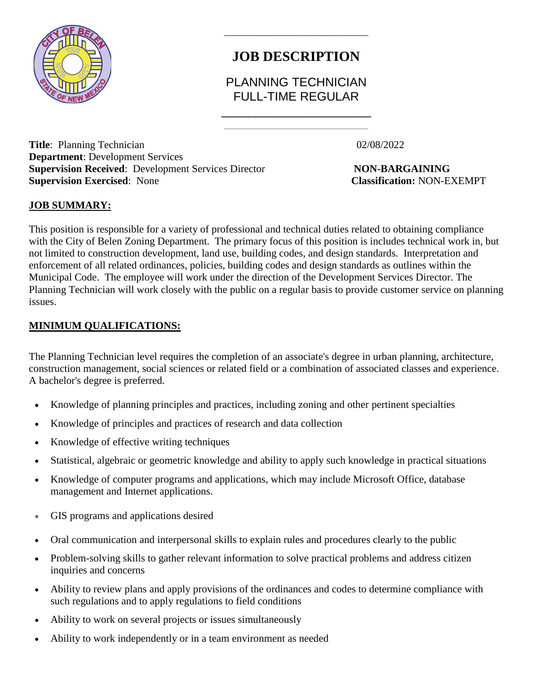

# **JOB DESCRIPTION**

\_\_\_\_\_\_\_\_\_\_\_\_\_\_\_\_\_\_\_\_\_\_\_\_\_\_\_\_\_\_

## PLANNING TECHNICIAN FULL-TIME REGULAR \_\_\_\_\_\_\_\_\_\_\_\_\_\_\_\_\_\_\_\_\_\_

 $\mathcal{L}_\text{max}$  and  $\mathcal{L}_\text{max}$  and  $\mathcal{L}_\text{max}$  and  $\mathcal{L}_\text{max}$  and  $\mathcal{L}_\text{max}$ 

**Title**: Planning Technician 02/08/2022 **Department**: Development Services **Supervision Received**: Development Services Director **NON-BARGAINING Supervision Exercised**: None **Classification:** NON-EXEMPT

### **JOB SUMMARY:**

This position is responsible for a variety of professional and technical duties related to obtaining compliance with the City of Belen Zoning Department. The primary focus of this position is includes technical work in, but not limited to construction development, land use, building codes, and design standards. Interpretation and enforcement of all related ordinances, policies, building codes and design standards as outlines within the Municipal Code. The employee will work under the direction of the Development Services Director. The Planning Technician will work closely with the public on a regular basis to provide customer service on planning issues.

#### **MINIMUM QUALIFICATIONS:**

The Planning Technician level requires the completion of an associate's degree in urban planning, architecture, construction management, social sciences or related field or a combination of associated classes and experience. A bachelor's degree is preferred.

- Knowledge of planning principles and practices, including zoning and other pertinent specialties
- Knowledge of principles and practices of research and data collection
- Knowledge of effective writing techniques
- Statistical, algebraic or geometric knowledge and ability to apply such knowledge in practical situations
- Knowledge of computer programs and applications, which may include Microsoft Office, database management and Internet applications.
- GIS programs and applications desired
- Oral communication and interpersonal skills to explain rules and procedures clearly to the public
- Problem-solving skills to gather relevant information to solve practical problems and address citizen inquiries and concerns
- Ability to review plans and apply provisions of the ordinances and codes to determine compliance with such regulations and to apply regulations to field conditions
- Ability to work on several projects or issues simultaneously
- Ability to work independently or in a team environment as needed